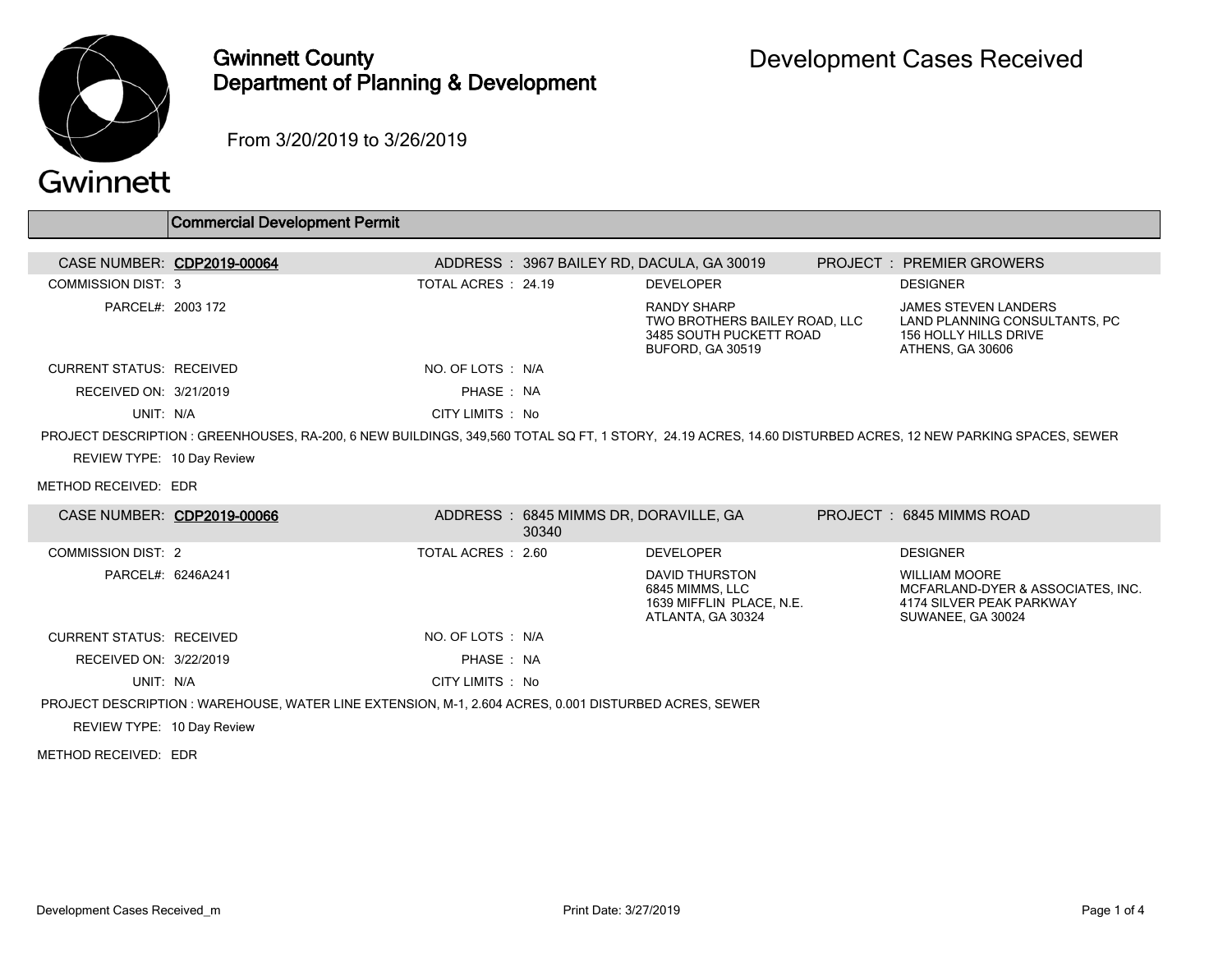

## Gwinnett County Department of Planning & Development

From 3/20/2019 to 3/26/2019

|                                                    | <b>Commercial Development Permit</b>                                                                                                                       |                     |                                                |                                                                                                           |                                                                                                            |
|----------------------------------------------------|------------------------------------------------------------------------------------------------------------------------------------------------------------|---------------------|------------------------------------------------|-----------------------------------------------------------------------------------------------------------|------------------------------------------------------------------------------------------------------------|
|                                                    | CASE NUMBER: CDP2019-00064                                                                                                                                 |                     |                                                | ADDRESS: 3967 BAILEY RD, DACULA, GA 30019                                                                 | <b>PROJECT : PREMIER GROWERS</b>                                                                           |
| <b>COMMISSION DIST: 3</b>                          |                                                                                                                                                            | TOTAL ACRES : 24.19 |                                                | <b>DEVELOPER</b>                                                                                          | <b>DESIGNER</b>                                                                                            |
| PARCEL#: 2003 172                                  |                                                                                                                                                            |                     |                                                | <b>RANDY SHARP</b><br>TWO BROTHERS BAILEY ROAD, LLC<br>3485 SOUTH PUCKETT ROAD<br><b>BUFORD, GA 30519</b> | <b>JAMES STEVEN LANDERS</b><br>LAND PLANNING CONSULTANTS, PC<br>156 HOLLY HILLS DRIVE<br>ATHENS, GA 30606  |
| <b>CURRENT STATUS: RECEIVED</b>                    |                                                                                                                                                            | NO. OF LOTS : N/A   |                                                |                                                                                                           |                                                                                                            |
| RECEIVED ON: 3/21/2019                             |                                                                                                                                                            | PHASE : NA          |                                                |                                                                                                           |                                                                                                            |
| UNIT: N/A                                          |                                                                                                                                                            | CITY LIMITS : No    |                                                |                                                                                                           |                                                                                                            |
| REVIEW TYPE: 10 Day Review<br>METHOD RECEIVED: EDR | PROJECT DESCRIPTION : GREENHOUSES, RA-200, 6 NEW BUILDINGS, 349,560 TOTAL SQ FT, 1 STORY, 24.19 ACRES, 14.60 DISTURBED ACRES, 12 NEW PARKING SPACES, SEWER |                     |                                                |                                                                                                           |                                                                                                            |
|                                                    | CASE NUMBER: CDP2019-00066                                                                                                                                 |                     | ADDRESS: 6845 MIMMS DR, DORAVILLE, GA<br>30340 |                                                                                                           | PROJECT: 6845 MIMMS ROAD                                                                                   |
| <b>COMMISSION DIST: 2</b>                          |                                                                                                                                                            | TOTAL ACRES : 2.60  |                                                | <b>DEVELOPER</b>                                                                                          | <b>DESIGNER</b>                                                                                            |
| PARCEL#: 6246A241                                  |                                                                                                                                                            |                     |                                                | <b>DAVID THURSTON</b><br>6845 MIMMS, LLC<br>1639 MIFFLIN PLACE, N.E.<br>ATLANTA, GA 30324                 | <b>WILLIAM MOORE</b><br>MCFARLAND-DYER & ASSOCIATES, INC.<br>4174 SILVER PEAK PARKWAY<br>SUWANEE, GA 30024 |
| <b>CURRENT STATUS: RECEIVED</b>                    |                                                                                                                                                            | NO. OF LOTS: N/A    |                                                |                                                                                                           |                                                                                                            |
| RECEIVED ON: 3/22/2019                             |                                                                                                                                                            | PHASE : NA          |                                                |                                                                                                           |                                                                                                            |
| UNIT: N/A                                          |                                                                                                                                                            | CITY LIMITS : No    |                                                |                                                                                                           |                                                                                                            |
|                                                    | PROJECT DESCRIPTION : WAREHOUSE, WATER LINE EXTENSION, M-1, 2.604 ACRES, 0.001 DISTURBED ACRES, SEWER                                                      |                     |                                                |                                                                                                           |                                                                                                            |
| REVIEW TYPE: 10 Day Review                         |                                                                                                                                                            |                     |                                                |                                                                                                           |                                                                                                            |
| METHOD RECEIVED: EDR                               |                                                                                                                                                            |                     |                                                |                                                                                                           |                                                                                                            |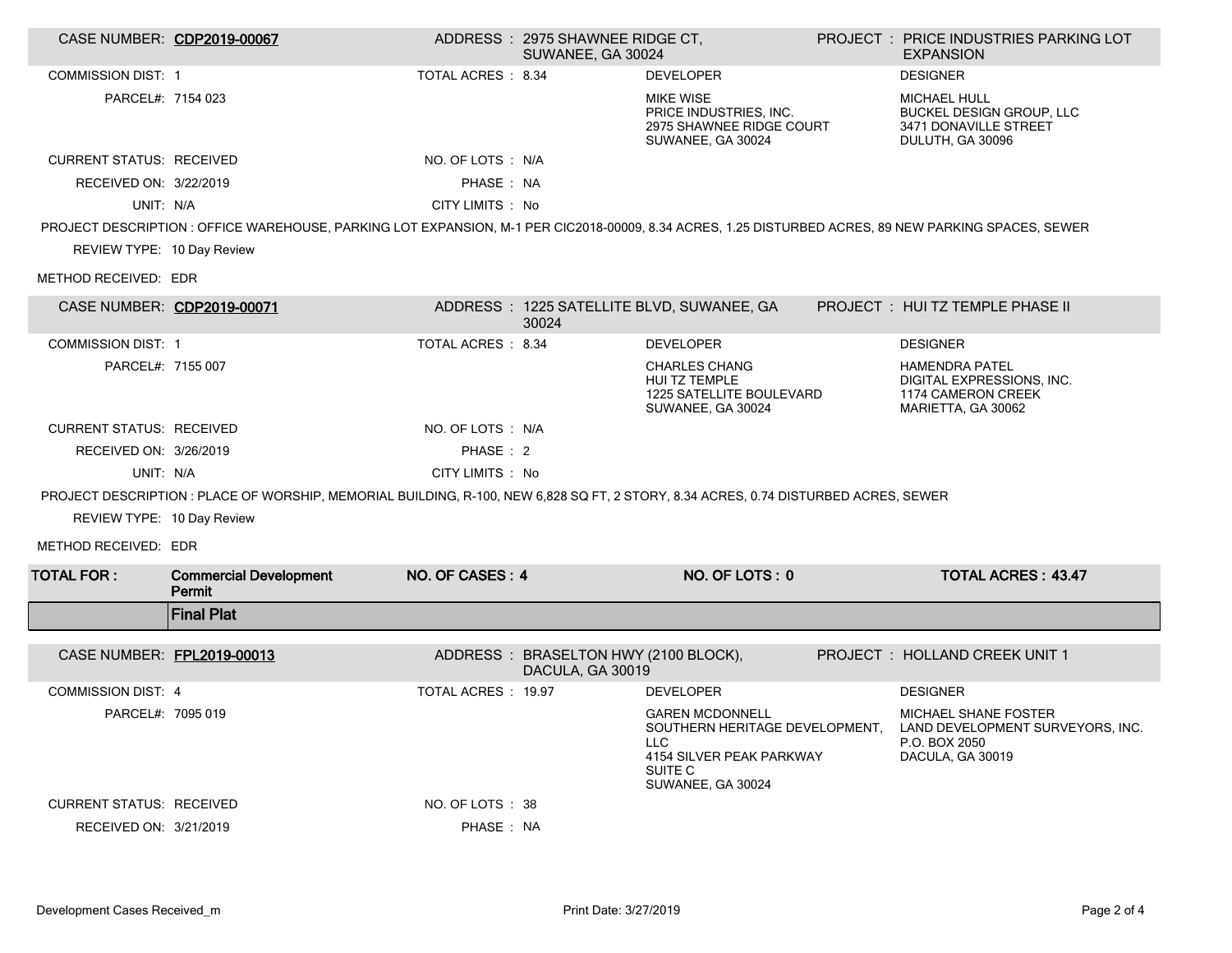|                                 | CASE NUMBER: CDP2019-00067                                                                                                                           |                     | ADDRESS: 2975 SHAWNEE RIDGE CT,<br>SUWANEE, GA 30024     |                                                                                                                              | PROJECT : PRICE INDUSTRIES PARKING LOT<br><b>EXPANSION</b>                                           |
|---------------------------------|------------------------------------------------------------------------------------------------------------------------------------------------------|---------------------|----------------------------------------------------------|------------------------------------------------------------------------------------------------------------------------------|------------------------------------------------------------------------------------------------------|
| <b>COMMISSION DIST: 1</b>       |                                                                                                                                                      | TOTAL ACRES : 8.34  |                                                          | <b>DEVELOPER</b>                                                                                                             | <b>DESIGNER</b>                                                                                      |
| PARCEL#: 7154 023               |                                                                                                                                                      |                     |                                                          | <b>MIKE WISE</b><br>PRICE INDUSTRIES, INC.<br>2975 SHAWNEE RIDGE COURT<br>SUWANEE, GA 30024                                  | MICHAEL HULL<br>BUCKEL DESIGN GROUP, LLC<br>3471 DONAVILLE STREET<br>DULUTH, GA 30096                |
| <b>CURRENT STATUS: RECEIVED</b> |                                                                                                                                                      | NO. OF LOTS : N/A   |                                                          |                                                                                                                              |                                                                                                      |
| RECEIVED ON: 3/22/2019          |                                                                                                                                                      | PHASE: NA           |                                                          |                                                                                                                              |                                                                                                      |
| UNIT: N/A                       |                                                                                                                                                      | CITY LIMITS : No    |                                                          |                                                                                                                              |                                                                                                      |
|                                 | PROJECT DESCRIPTION : OFFICE WAREHOUSE, PARKING LOT EXPANSION, M-1 PER CIC2018-00009, 8.34 ACRES, 1.25 DISTURBED ACRES, 89 NEW PARKING SPACES, SEWER |                     |                                                          |                                                                                                                              |                                                                                                      |
| REVIEW TYPE: 10 Day Review      |                                                                                                                                                      |                     |                                                          |                                                                                                                              |                                                                                                      |
| METHOD RECEIVED: EDR            |                                                                                                                                                      |                     |                                                          |                                                                                                                              |                                                                                                      |
|                                 | CASE NUMBER: CDP2019-00071                                                                                                                           |                     | 30024                                                    | ADDRESS: 1225 SATELLITE BLVD, SUWANEE, GA                                                                                    | PROJECT : HUI TZ TEMPLE PHASE II                                                                     |
| <b>COMMISSION DIST: 1</b>       |                                                                                                                                                      | TOTAL ACRES : 8.34  |                                                          | <b>DEVELOPER</b>                                                                                                             | <b>DESIGNER</b>                                                                                      |
| PARCEL#: 7155 007               |                                                                                                                                                      |                     |                                                          | <b>CHARLES CHANG</b><br><b>HUI TZ TEMPLE</b><br>1225 SATELLITE BOULEVARD<br>SUWANEE, GA 30024                                | <b>HAMENDRA PATEL</b><br>DIGITAL EXPRESSIONS, INC.<br>1174 CAMERON CREEK<br>MARIETTA, GA 30062       |
| <b>CURRENT STATUS: RECEIVED</b> |                                                                                                                                                      | NO. OF LOTS : N/A   |                                                          |                                                                                                                              |                                                                                                      |
| RECEIVED ON: 3/26/2019          |                                                                                                                                                      | PHASE: 2            |                                                          |                                                                                                                              |                                                                                                      |
| UNIT: N/A                       |                                                                                                                                                      | CITY LIMITS : No    |                                                          |                                                                                                                              |                                                                                                      |
|                                 | PROJECT DESCRIPTION : PLACE OF WORSHIP, MEMORIAL BUILDING, R-100, NEW 6,828 SQ FT, 2 STORY, 8.34 ACRES, 0.74 DISTURBED ACRES, SEWER                  |                     |                                                          |                                                                                                                              |                                                                                                      |
| REVIEW TYPE: 10 Day Review      |                                                                                                                                                      |                     |                                                          |                                                                                                                              |                                                                                                      |
| METHOD RECEIVED: EDR            |                                                                                                                                                      |                     |                                                          |                                                                                                                              |                                                                                                      |
| <b>TOTAL FOR:</b>               | <b>Commercial Development</b><br>Permit                                                                                                              | NO. OF CASES: 4     |                                                          | NO. OF LOTS: 0                                                                                                               | <b>TOTAL ACRES: 43.47</b>                                                                            |
|                                 | <b>Final Plat</b>                                                                                                                                    |                     |                                                          |                                                                                                                              |                                                                                                      |
| CASE NUMBER: FPL2019-00013      |                                                                                                                                                      |                     | ADDRESS: BRASELTON HWY (2100 BLOCK),<br>DACULA, GA 30019 |                                                                                                                              | PROJECT : HOLLAND CREEK UNIT 1                                                                       |
| <b>COMMISSION DIST: 4</b>       |                                                                                                                                                      | TOTAL ACRES : 19.97 |                                                          | <b>DEVELOPER</b>                                                                                                             | <b>DESIGNER</b>                                                                                      |
| PARCEL#: 7095 019               |                                                                                                                                                      |                     |                                                          | <b>GAREN MCDONNELL</b><br>SOUTHERN HERITAGE DEVELOPMENT,<br>LLC.<br>4154 SILVER PEAK PARKWAY<br>SUITE C<br>SUWANEE, GA 30024 | <b>MICHAEL SHANE FOSTER</b><br>LAND DEVELOPMENT SURVEYORS, INC.<br>P.O. BOX 2050<br>DACULA, GA 30019 |
| <b>CURRENT STATUS: RECEIVED</b> |                                                                                                                                                      | NO. OF LOTS : 38    |                                                          |                                                                                                                              |                                                                                                      |
| RECEIVED ON: 3/21/2019          |                                                                                                                                                      | PHASE : NA          |                                                          |                                                                                                                              |                                                                                                      |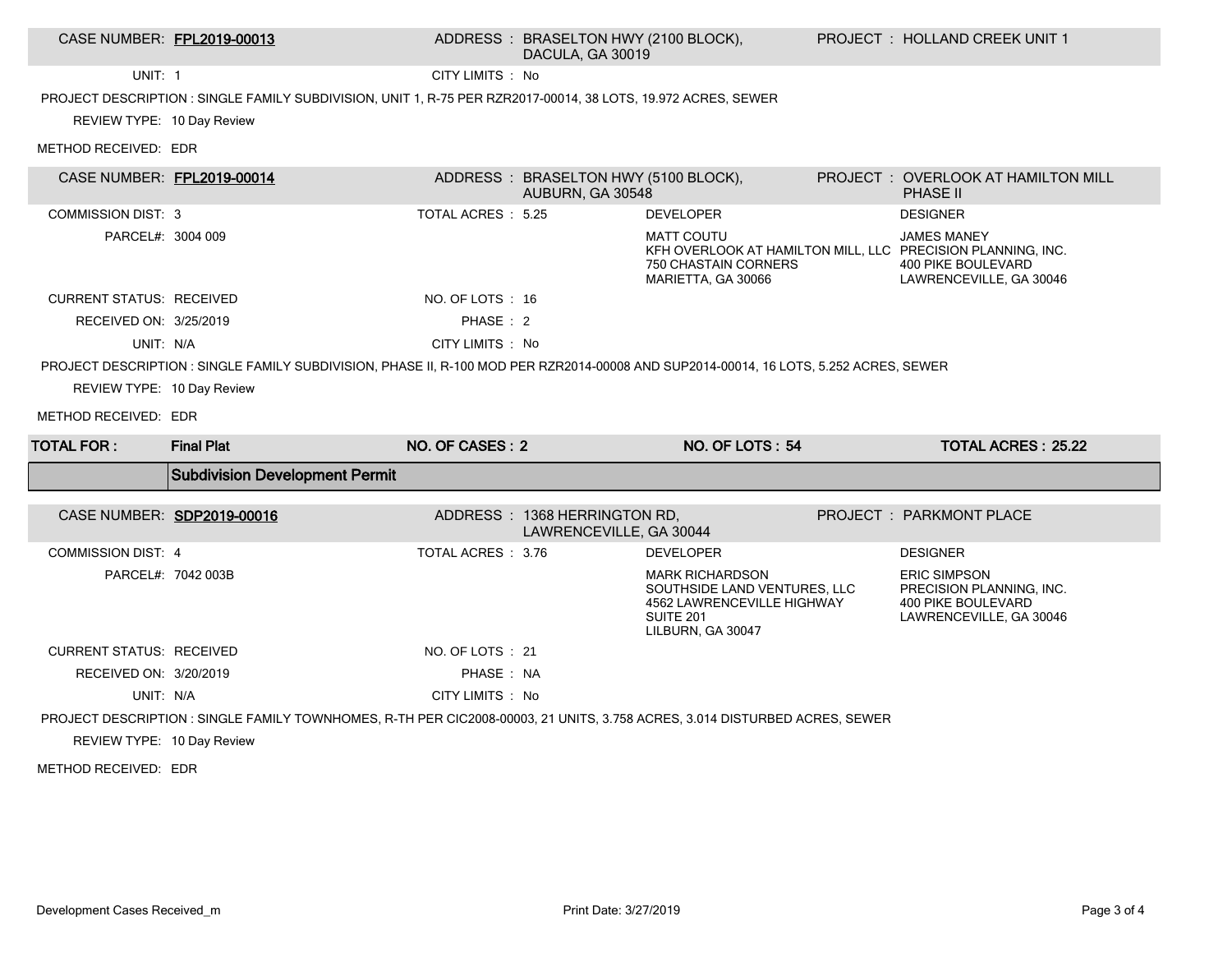## CASE NUMBER: FPL2019-00013 ADDRESS : BRASELTON HWY (2100 BLOCK), DACULA, GA 30019

UNIT: 1 CITY LIMITS : No

PROJECT DESCRIPTION : SINGLE FAMILY SUBDIVISION, UNIT 1, R-75 PER RZR2017-00014, 38 LOTS, 19.972 ACRES, SEWER

REVIEW TYPE: 10 Day Review

METHOD RECEIVED: EDR

| CASE NUMBER: FPL2019-00014      |                                                                                                                                       |                   | ADDRESS: BRASELTON HWY (5100 BLOCK),<br>AUBURN, GA 30548 |                                                                                                                        | PROJECT: OVERLOOK AT HAMILTON MILL<br><b>PHASE II</b>                                                                                     |
|---------------------------------|---------------------------------------------------------------------------------------------------------------------------------------|-------------------|----------------------------------------------------------|------------------------------------------------------------------------------------------------------------------------|-------------------------------------------------------------------------------------------------------------------------------------------|
| <b>COMMISSION DIST: 3</b>       |                                                                                                                                       | TOTAL ACRES: 5.25 |                                                          | <b>DEVELOPER</b>                                                                                                       | <b>DESIGNER</b>                                                                                                                           |
| PARCEL#: 3004 009               |                                                                                                                                       |                   |                                                          | <b>MATT COUTU</b><br>750 CHASTAIN CORNERS<br>MARIETTA, GA 30066                                                        | <b>JAMES MANEY</b><br>KFH OVERLOOK AT HAMILTON MILL, LLC PRECISION PLANNING, INC.<br><b>400 PIKE BOULEVARD</b><br>LAWRENCEVILLE, GA 30046 |
| <b>CURRENT STATUS: RECEIVED</b> |                                                                                                                                       | NO. OF LOTS : 16  |                                                          |                                                                                                                        |                                                                                                                                           |
| RECEIVED ON: 3/25/2019          |                                                                                                                                       | PHASE: 2          |                                                          |                                                                                                                        |                                                                                                                                           |
| UNIT: N/A                       |                                                                                                                                       | CITY LIMITS : No  |                                                          |                                                                                                                        |                                                                                                                                           |
|                                 | PROJECT DESCRIPTION : SINGLE FAMILY SUBDIVISION, PHASE II, R-100 MOD PER RZR2014-00008 AND SUP2014-00014, 16 LOTS, 5.252 ACRES, SEWER |                   |                                                          |                                                                                                                        |                                                                                                                                           |
| REVIEW TYPE: 10 Day Review      |                                                                                                                                       |                   |                                                          |                                                                                                                        |                                                                                                                                           |
| METHOD RECEIVED: EDR            |                                                                                                                                       |                   |                                                          |                                                                                                                        |                                                                                                                                           |
| <b>TOTAL FOR:</b>               | <b>Final Plat</b>                                                                                                                     | NO. OF CASES: 2   |                                                          | NO. OF LOTS: 54                                                                                                        | <b>TOTAL ACRES: 25.22</b>                                                                                                                 |
|                                 | <b>Subdivision Development Permit</b>                                                                                                 |                   |                                                          |                                                                                                                        |                                                                                                                                           |
|                                 | CASE NUMBER: SDP2019-00016                                                                                                            |                   | ADDRESS: 1368 HERRINGTON RD.<br>LAWRENCEVILLE, GA 30044  |                                                                                                                        | <b>PROJECT: PARKMONT PLACE</b>                                                                                                            |
| <b>COMMISSION DIST: 4</b>       |                                                                                                                                       | TOTAL ACRES: 3.76 |                                                          | <b>DEVELOPER</b>                                                                                                       | <b>DESIGNER</b>                                                                                                                           |
| PARCEL#: 7042 003B              |                                                                                                                                       |                   |                                                          |                                                                                                                        |                                                                                                                                           |
|                                 |                                                                                                                                       |                   |                                                          | <b>MARK RICHARDSON</b><br>SOUTHSIDE LAND VENTURES, LLC<br>4562 LAWRENCEVILLE HIGHWAY<br>SUITE 201<br>LILBURN, GA 30047 | <b>ERIC SIMPSON</b><br>PRECISION PLANNING, INC.<br><b>400 PIKE BOULEVARD</b><br>LAWRENCEVILLE, GA 30046                                   |
| <b>CURRENT STATUS: RECEIVED</b> |                                                                                                                                       | NO. OF LOTS: 21   |                                                          |                                                                                                                        |                                                                                                                                           |
| RECEIVED ON: 3/20/2019          |                                                                                                                                       | PHASE: NA         |                                                          |                                                                                                                        |                                                                                                                                           |
| UNIT: N/A                       |                                                                                                                                       | CITY LIMITS : No  |                                                          |                                                                                                                        |                                                                                                                                           |
|                                 | PROJECT DESCRIPTION : SINGLE FAMILY TOWNHOMES, R-TH PER CIC2008-00003, 21 UNITS, 3.758 ACRES, 3.014 DISTURBED ACRES, SEWER            |                   |                                                          |                                                                                                                        |                                                                                                                                           |
| REVIEW TYPE: 10 Day Review      |                                                                                                                                       |                   |                                                          |                                                                                                                        |                                                                                                                                           |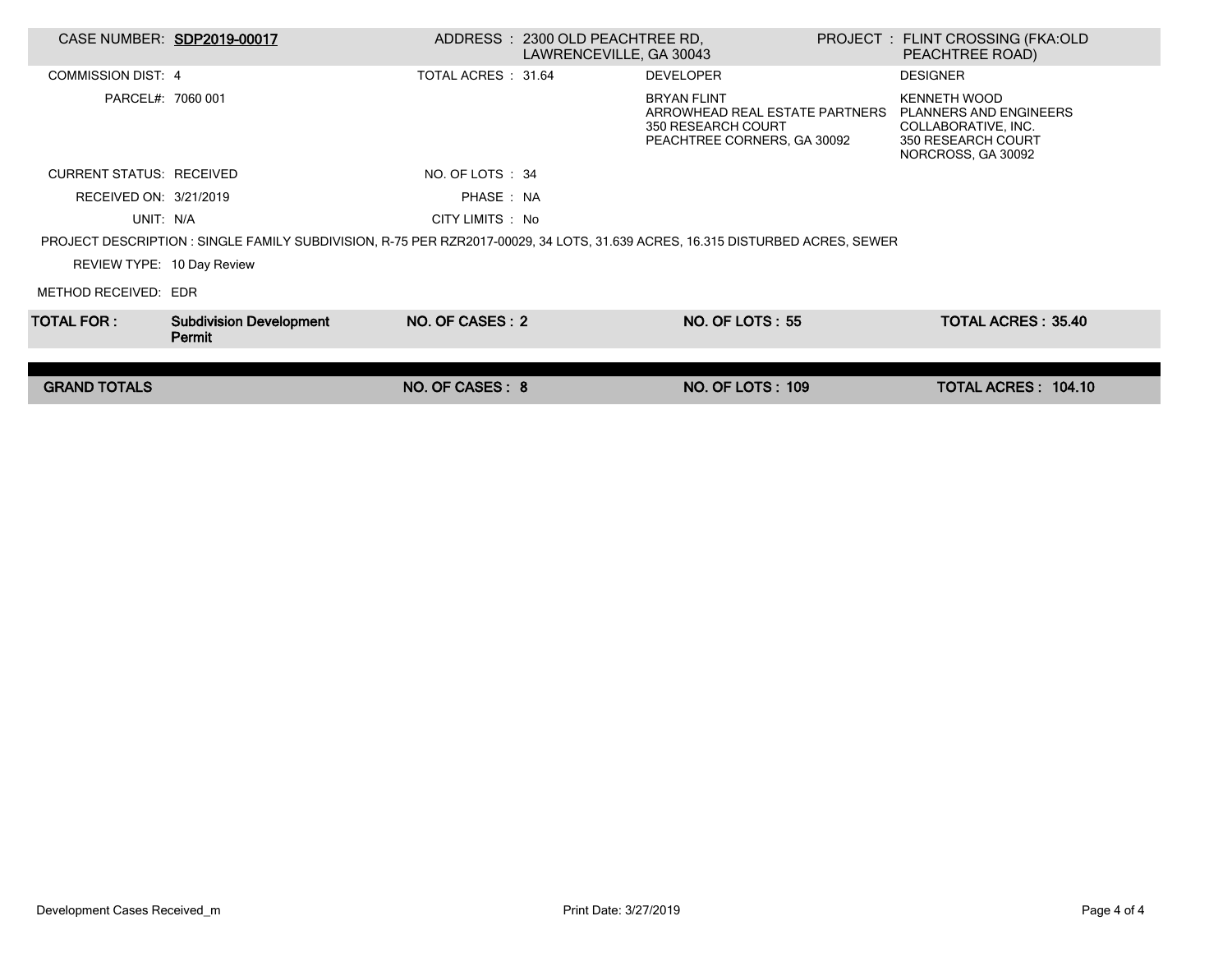| CASE NUMBER: SDP2019-00017      |                                                                                                                              |                    | ADDRESS : 2300 OLD PEACHTREE RD.<br>LAWRENCEVILLE, GA 30043 |                                                                                                           | PROJECT : FLINT CROSSING (FKA:OLD<br>PEACHTREE ROAD)                                                             |  |
|---------------------------------|------------------------------------------------------------------------------------------------------------------------------|--------------------|-------------------------------------------------------------|-----------------------------------------------------------------------------------------------------------|------------------------------------------------------------------------------------------------------------------|--|
| COMMISSION DIST: 4              |                                                                                                                              | TOTAL ACRES: 31.64 |                                                             | <b>DEVELOPER</b>                                                                                          | <b>DESIGNER</b>                                                                                                  |  |
| PARCEL#: 7060 001               |                                                                                                                              |                    |                                                             | <b>BRYAN FLINT</b><br>ARROWHEAD REAL ESTATE PARTNERS<br>350 RESEARCH COURT<br>PEACHTREE CORNERS, GA 30092 | <b>KENNETH WOOD</b><br>PLANNERS AND ENGINEERS<br>COLLABORATIVE, INC.<br>350 RESEARCH COURT<br>NORCROSS, GA 30092 |  |
| <b>CURRENT STATUS: RECEIVED</b> |                                                                                                                              | NO. OF LOTS : 34   |                                                             |                                                                                                           |                                                                                                                  |  |
| RECEIVED ON: 3/21/2019          |                                                                                                                              | PHASE: NA          |                                                             |                                                                                                           |                                                                                                                  |  |
| UNIT: N/A                       |                                                                                                                              | CITY LIMITS : No   |                                                             |                                                                                                           |                                                                                                                  |  |
|                                 | PROJECT DESCRIPTION: SINGLE FAMILY SUBDIVISION, R-75 PER RZR2017-00029, 34 LOTS, 31.639 ACRES, 16.315 DISTURBED ACRES, SEWER |                    |                                                             |                                                                                                           |                                                                                                                  |  |
| REVIEW TYPE: 10 Day Review      |                                                                                                                              |                    |                                                             |                                                                                                           |                                                                                                                  |  |
| METHOD RECEIVED: EDR            |                                                                                                                              |                    |                                                             |                                                                                                           |                                                                                                                  |  |
| TOTAL FOR : I                   | <b>Subdivision Development</b><br>Permit                                                                                     | NO. OF CASES: 2    |                                                             | <b>NO. OF LOTS: 55</b>                                                                                    | <b>TOTAL ACRES: 35.40</b>                                                                                        |  |
|                                 |                                                                                                                              |                    |                                                             |                                                                                                           |                                                                                                                  |  |
| <b>GRAND TOTALS</b>             |                                                                                                                              | NO. OF CASES: 8    |                                                             | <b>NO. OF LOTS: 109</b>                                                                                   | TOTAL ACRES: 104.10                                                                                              |  |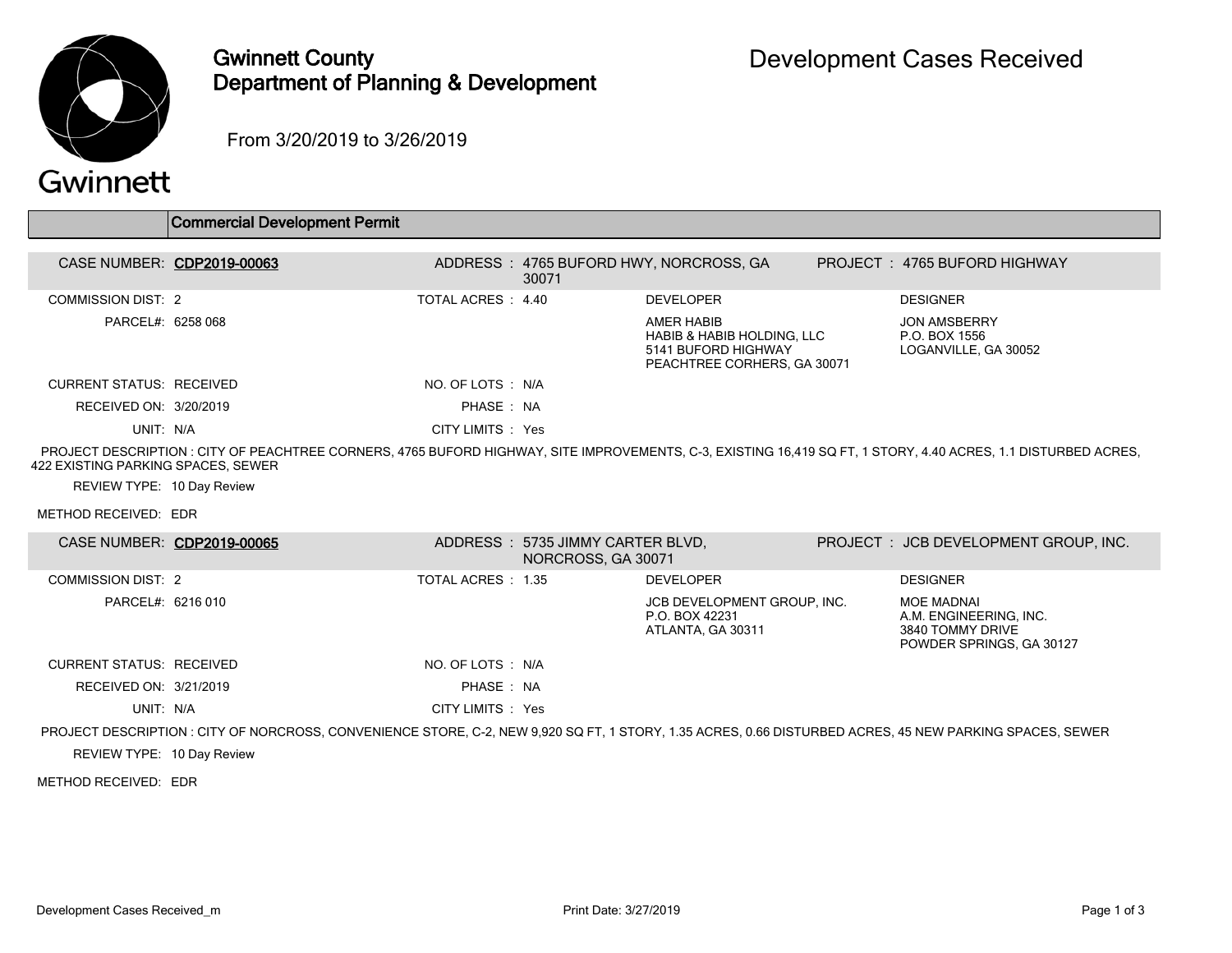

## Gwinnett County Department of Planning & Development

From 3/20/2019 to 3/26/2019

## Gwinnett

|                                    | Commercial Development Permit |                    |       |                                                                                                |                                                                                                                                                                |
|------------------------------------|-------------------------------|--------------------|-------|------------------------------------------------------------------------------------------------|----------------------------------------------------------------------------------------------------------------------------------------------------------------|
| CASE NUMBER: CDP2019-00063         |                               |                    | 30071 | ADDRESS: 4765 BUFORD HWY, NORCROSS, GA                                                         | PROJECT: 4765 BUFORD HIGHWAY                                                                                                                                   |
| COMMISSION DIST: 2                 |                               | TOTAL ACRES : 4.40 |       | <b>DEVELOPER</b>                                                                               | <b>DESIGNER</b>                                                                                                                                                |
| PARCEL#: 6258 068                  |                               |                    |       | AMER HABIB<br>HABIB & HABIB HOLDING, LLC<br>5141 BUFORD HIGHWAY<br>PEACHTREE CORHERS, GA 30071 | <b>JON AMSBERRY</b><br>P.O. BOX 1556<br>LOGANVILLE, GA 30052                                                                                                   |
| CURRENT STATUS: RECEIVED           |                               | NO. OF LOTS : N/A  |       |                                                                                                |                                                                                                                                                                |
| RECEIVED ON: 3/20/2019             |                               | PHASE: NA          |       |                                                                                                |                                                                                                                                                                |
| UNIT: N/A                          |                               | CITY LIMITS : Yes  |       |                                                                                                |                                                                                                                                                                |
| 422 EXISTING PARKING SPACES, SEWER |                               |                    |       |                                                                                                | PROJECT DESCRIPTION : CITY OF PEACHTREE CORNERS, 4765 BUFORD HIGHWAY, SITE IMPROVEMENTS, C-3, EXISTING 16,419 SQ FT, 1 STORY, 4.40 ACRES, 1.1 DISTURBED ACRES, |

REVIEW TYPE: 10 Day Review

METHOD RECEIVED: EDR

| CASE NUMBER: CDP2019-00065 |                                                                                                                                                          |                    | ADDRESS : 5735 JIMMY CARTER BLVD.<br>NORCROSS, GA 30071 |                                                                    | PROJECT: JCB DEVELOPMENT GROUP, INC.                                                 |
|----------------------------|----------------------------------------------------------------------------------------------------------------------------------------------------------|--------------------|---------------------------------------------------------|--------------------------------------------------------------------|--------------------------------------------------------------------------------------|
| COMMISSION DIST: 2         |                                                                                                                                                          | TOTAL ACRES : 1.35 |                                                         | <b>DEVELOPER</b>                                                   | <b>DESIGNER</b>                                                                      |
| PARCEL#: 6216 010          |                                                                                                                                                          |                    |                                                         | JCB DEVELOPMENT GROUP. INC.<br>P.O. BOX 42231<br>ATLANTA, GA 30311 | MOE MADNAI<br>A.M. ENGINEERING, INC.<br>3840 TOMMY DRIVE<br>POWDER SPRINGS, GA 30127 |
| CURRENT STATUS: RECEIVED   |                                                                                                                                                          | NO. OF LOTS : N/A  |                                                         |                                                                    |                                                                                      |
| RECEIVED ON: 3/21/2019     |                                                                                                                                                          | PHASE: NA          |                                                         |                                                                    |                                                                                      |
| UNIT: N/A                  |                                                                                                                                                          | CITY LIMITS : Yes  |                                                         |                                                                    |                                                                                      |
|                            | PROJECT DESCRIPTION : CITY OF NORCROSS, CONVENIENCE STORE, C-2, NEW 9,920 SQ FT, 1 STORY, 1.35 ACRES, 0.66 DISTURBED ACRES, 45 NEW PARKING SPACES, SEWER |                    |                                                         |                                                                    |                                                                                      |
| $\blacksquare$             |                                                                                                                                                          |                    |                                                         |                                                                    |                                                                                      |

REVIEW TYPE: 10 Day Review

METHOD RECEIVED: EDR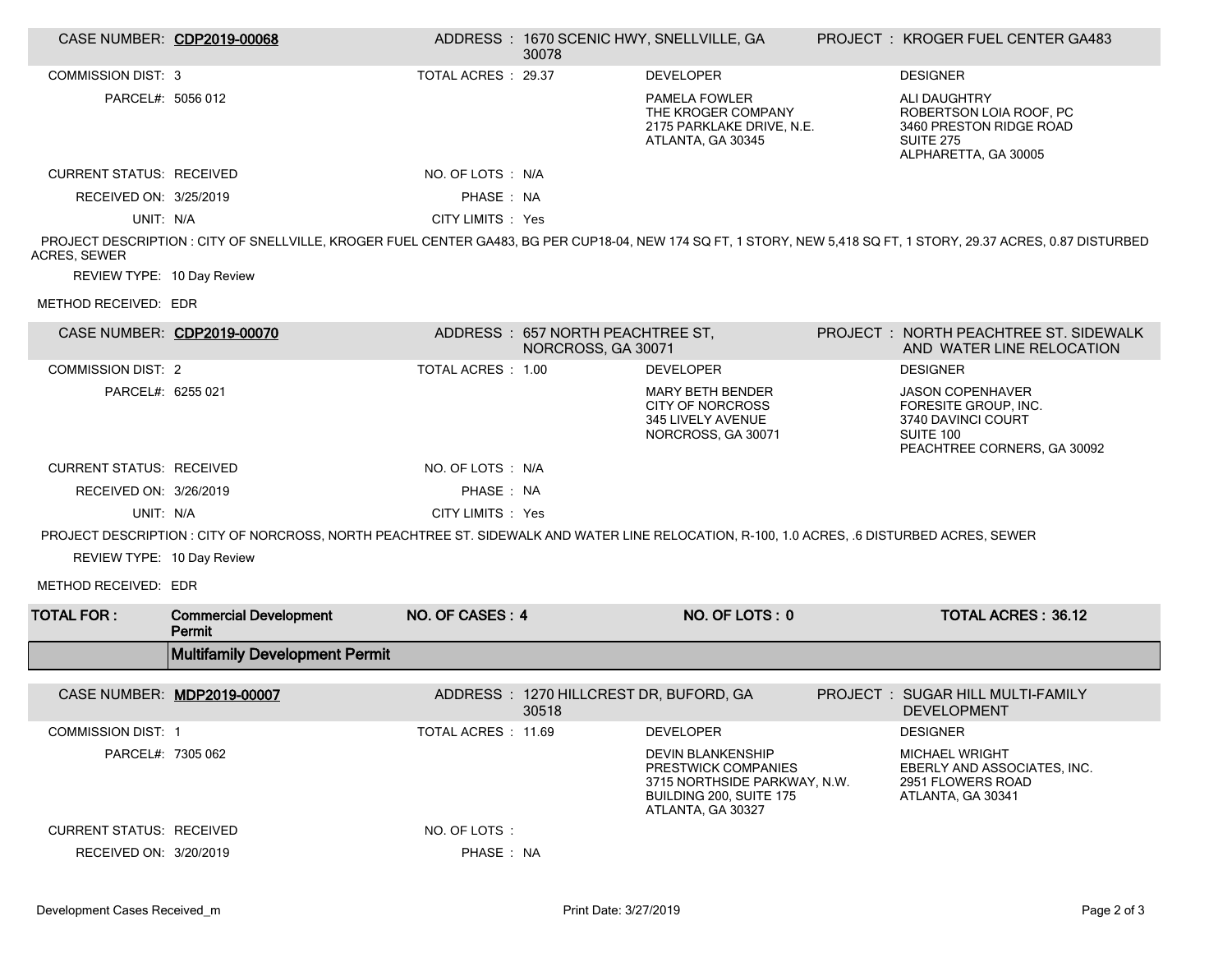|                                                                                                                                                                                           | CASE NUMBER: CDP2019-00068                                                                                                                  |                     | 30078                                                  | ADDRESS: 1670 SCENIC HWY, SNELLVILLE, GA                                                                                        |  | PROJECT: KROGER FUEL CENTER GA483                                                                                     |  |  |
|-------------------------------------------------------------------------------------------------------------------------------------------------------------------------------------------|---------------------------------------------------------------------------------------------------------------------------------------------|---------------------|--------------------------------------------------------|---------------------------------------------------------------------------------------------------------------------------------|--|-----------------------------------------------------------------------------------------------------------------------|--|--|
| <b>COMMISSION DIST: 3</b>                                                                                                                                                                 |                                                                                                                                             | TOTAL ACRES : 29.37 |                                                        | <b>DEVELOPER</b>                                                                                                                |  | <b>DESIGNER</b>                                                                                                       |  |  |
| PARCEL#: 5056 012                                                                                                                                                                         |                                                                                                                                             |                     |                                                        | <b>PAMELA FOWLER</b><br>THE KROGER COMPANY<br>2175 PARKLAKE DRIVE, N.E.<br>ATLANTA, GA 30345                                    |  | <b>ALI DAUGHTRY</b><br>ROBERTSON LOIA ROOF, PC<br>3460 PRESTON RIDGE ROAD<br><b>SUITE 275</b><br>ALPHARETTA, GA 30005 |  |  |
| <b>CURRENT STATUS: RECEIVED</b>                                                                                                                                                           |                                                                                                                                             | NO. OF LOTS : N/A   |                                                        |                                                                                                                                 |  |                                                                                                                       |  |  |
| RECEIVED ON: 3/25/2019                                                                                                                                                                    |                                                                                                                                             | PHASE: NA           |                                                        |                                                                                                                                 |  |                                                                                                                       |  |  |
| UNIT: N/A                                                                                                                                                                                 |                                                                                                                                             | CITY LIMITS : Yes   |                                                        |                                                                                                                                 |  |                                                                                                                       |  |  |
| PROJECT DESCRIPTION : CITY OF SNELLVILLE, KROGER FUEL CENTER GA483, BG PER CUP18-04, NEW 174 SQ FT, 1 STORY, NEW 5,418 SQ FT, 1 STORY, 29.37 ACRES, 0.87 DISTURBED<br><b>ACRES, SEWER</b> |                                                                                                                                             |                     |                                                        |                                                                                                                                 |  |                                                                                                                       |  |  |
| REVIEW TYPE: 10 Day Review                                                                                                                                                                |                                                                                                                                             |                     |                                                        |                                                                                                                                 |  |                                                                                                                       |  |  |
| METHOD RECEIVED: EDR                                                                                                                                                                      |                                                                                                                                             |                     |                                                        |                                                                                                                                 |  |                                                                                                                       |  |  |
| CASE NUMBER: CDP2019-00070                                                                                                                                                                |                                                                                                                                             |                     | ADDRESS: 657 NORTH PEACHTREE ST,<br>NORCROSS, GA 30071 |                                                                                                                                 |  | PROJECT: NORTH PEACHTREE ST. SIDEWALK<br>AND WATER LINE RELOCATION                                                    |  |  |
| <b>COMMISSION DIST: 2</b>                                                                                                                                                                 |                                                                                                                                             | TOTAL ACRES: 1.00   |                                                        | <b>DEVELOPER</b>                                                                                                                |  | <b>DESIGNER</b>                                                                                                       |  |  |
| PARCEL#: 6255 021                                                                                                                                                                         |                                                                                                                                             |                     |                                                        | <b>MARY BETH BENDER</b><br><b>CITY OF NORCROSS</b><br>345 LIVELY AVENUE<br>NORCROSS, GA 30071                                   |  | <b>JASON COPENHAVER</b><br>FORESITE GROUP, INC.<br>3740 DAVINCI COURT<br>SUITE 100<br>PEACHTREE CORNERS, GA 30092     |  |  |
| <b>CURRENT STATUS: RECEIVED</b>                                                                                                                                                           |                                                                                                                                             | NO. OF LOTS : N/A   |                                                        |                                                                                                                                 |  |                                                                                                                       |  |  |
| RECEIVED ON: 3/26/2019                                                                                                                                                                    |                                                                                                                                             | PHASE: NA           |                                                        |                                                                                                                                 |  |                                                                                                                       |  |  |
| UNIT: N/A                                                                                                                                                                                 |                                                                                                                                             | CITY LIMITS : Yes   |                                                        |                                                                                                                                 |  |                                                                                                                       |  |  |
|                                                                                                                                                                                           | PROJECT DESCRIPTION : CITY OF NORCROSS, NORTH PEACHTREE ST. SIDEWALK AND WATER LINE RELOCATION, R-100, 1.0 ACRES, .6 DISTURBED ACRES, SEWER |                     |                                                        |                                                                                                                                 |  |                                                                                                                       |  |  |
| REVIEW TYPE: 10 Day Review                                                                                                                                                                |                                                                                                                                             |                     |                                                        |                                                                                                                                 |  |                                                                                                                       |  |  |
| METHOD RECEIVED: EDR                                                                                                                                                                      |                                                                                                                                             |                     |                                                        |                                                                                                                                 |  |                                                                                                                       |  |  |
| <b>TOTAL FOR:</b>                                                                                                                                                                         | <b>Commercial Development</b><br>Permit                                                                                                     | NO. OF CASES: 4     |                                                        | NO. OF LOTS: 0                                                                                                                  |  | <b>TOTAL ACRES: 36.12</b>                                                                                             |  |  |
|                                                                                                                                                                                           | <b>Multifamily Development Permit</b>                                                                                                       |                     |                                                        |                                                                                                                                 |  |                                                                                                                       |  |  |
|                                                                                                                                                                                           |                                                                                                                                             |                     | ADDRESS: 1270 HILLCREST DR, BUFORD, GA                 |                                                                                                                                 |  | PROJECT: SUGAR HILL MULTI-FAMILY                                                                                      |  |  |
| CASE NUMBER: MDP2019-00007                                                                                                                                                                |                                                                                                                                             |                     | 30518                                                  |                                                                                                                                 |  | <b>DEVELOPMENT</b>                                                                                                    |  |  |
| <b>COMMISSION DIST: 1</b>                                                                                                                                                                 |                                                                                                                                             | TOTAL ACRES: 11.69  |                                                        | <b>DEVELOPER</b>                                                                                                                |  | <b>DESIGNER</b>                                                                                                       |  |  |
| PARCEL#: 7305 062                                                                                                                                                                         |                                                                                                                                             |                     |                                                        | <b>DEVIN BLANKENSHIP</b><br>PRESTWICK COMPANIES<br>3715 NORTHSIDE PARKWAY, N.W.<br>BUILDING 200, SUITE 175<br>ATLANTA, GA 30327 |  | <b>MICHAEL WRIGHT</b><br>EBERLY AND ASSOCIATES, INC.<br>2951 FLOWERS ROAD<br>ATLANTA, GA 30341                        |  |  |
| <b>CURRENT STATUS: RECEIVED</b>                                                                                                                                                           |                                                                                                                                             | NO. OF LOTS:        |                                                        |                                                                                                                                 |  |                                                                                                                       |  |  |
| RECEIVED ON: 3/20/2019                                                                                                                                                                    |                                                                                                                                             | PHASE: NA           |                                                        |                                                                                                                                 |  |                                                                                                                       |  |  |